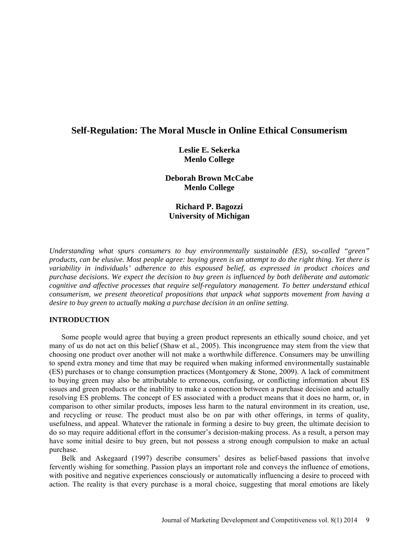# **Self-Regulation: The Moral Muscle in Online Ethical Consumerism**

**Leslie E. Sekerka Menlo College** 

**Deborah Brown McCabe Menlo College** 

# **Richard P. Bagozzi University of Michigan**

*Understanding what spurs consumers to buy environmentally sustainable (ES), so-called "green" products, can be elusive. Most people agree: buying green is an attempt to do the right thing. Yet there is variability in individuals' adherence to this espoused belief, as expressed in product choices and purchase decisions. We expect the decision to buy green is influenced by both deliberate and automatic cognitive and affective processes that require self-regulatory management. To better understand ethical consumerism, we present theoretical propositions that unpack what supports movement from having a desire to buy green to actually making a purchase decision in an online setting.*

## **INTRODUCTION**

Some people would agree that buying a green product represents an ethically sound choice, and yet many of us do not act on this belief (Shaw et al., 2005). This incongruence may stem from the view that choosing one product over another will not make a worthwhile difference. Consumers may be unwilling to spend extra money and time that may be required when making informed environmentally sustainable (ES) purchases or to change consumption practices (Montgomery & Stone, 2009). A lack of commitment to buying green may also be attributable to erroneous, confusing, or conflicting information about ES issues and green products or the inability to make a connection between a purchase decision and actually resolving ES problems. The concept of ES associated with a product means that it does no harm, or, in comparison to other similar products, imposes less harm to the natural environment in its creation, use, and recycling or reuse. The product must also be on par with other offerings, in terms of quality, usefulness, and appeal. Whatever the rationale in forming a desire to buy green, the ultimate decision to do so may require additional effort in the consumer's decision-making process. As a result, a person may have some initial desire to buy green, but not possess a strong enough compulsion to make an actual purchase.

Belk and Askegaard (1997) describe consumers' desires as belief-based passions that involve fervently wishing for something. Passion plays an important role and conveys the influence of emotions, with positive and negative experiences consciously or automatically influencing a desire to proceed with action. The reality is that every purchase is a moral choice, suggesting that moral emotions are likely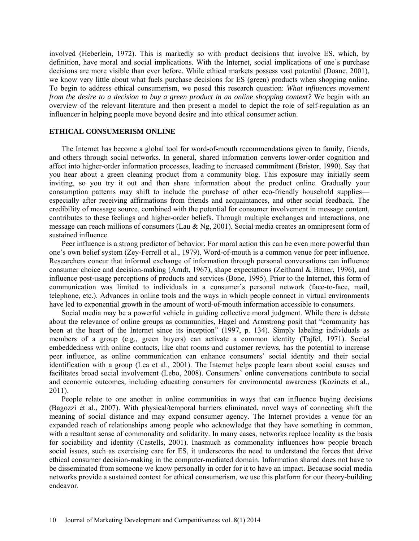involved (Heberlein, 1972). This is markedly so with product decisions that involve ES, which, by definition, have moral and social implications. With the Internet, social implications of one's purchase decisions are more visible than ever before. While ethical markets possess vast potential (Doane, 2001), we know very little about what fuels purchase decisions for ES (green) products when shopping online. To begin to address ethical consumerism, we posed this research question: *What influences movement from the desire to a decision to buy a green product in an online shopping context?* We begin with an overview of the relevant literature and then present a model to depict the role of self-regulation as an influencer in helping people move beyond desire and into ethical consumer action.

# **ETHICAL CONSUMERISM ONLINE**

The Internet has become a global tool for word-of-mouth recommendations given to family, friends, and others through social networks. In general, shared information converts lower-order cognition and affect into higher-order information processes, leading to increased commitment (Bristor, 1990). Say that you hear about a green cleaning product from a community blog. This exposure may initially seem inviting, so you try it out and then share information about the product online. Gradually your consumption patterns may shift to include the purchase of other eco-friendly household supplies especially after receiving affirmations from friends and acquaintances, and other social feedback. The credibility of message source, combined with the potential for consumer involvement in message content, contributes to these feelings and higher-order beliefs. Through multiple exchanges and interactions, one message can reach millions of consumers (Lau & Ng, 2001). Social media creates an omnipresent form of sustained influence.

Peer influence is a strong predictor of behavior. For moral action this can be even more powerful than one's own belief system (Zey-Ferrell et al., 1979). Word-of-mouth is a common venue for peer influence. Researchers concur that informal exchange of information through personal conversations can influence consumer choice and decision-making (Arndt, 1967), shape expectations (Zeithaml & Bitner, 1996), and influence post-usage perceptions of products and services (Bone, 1995). Prior to the Internet, this form of communication was limited to individuals in a consumer's personal network (face-to-face, mail, telephone, etc.). Advances in online tools and the ways in which people connect in virtual environments have led to exponential growth in the amount of word-of-mouth information accessible to consumers.

Social media may be a powerful vehicle in guiding collective moral judgment. While there is debate about the relevance of online groups as communities, Hagel and Armstrong posit that "community has been at the heart of the Internet since its inception" (1997, p. 134). Simply labeling individuals as members of a group (e.g., green buyers) can activate a common identity (Tajfel, 1971). Social embeddedness with online contacts, like chat rooms and customer reviews, has the potential to increase peer influence, as online communication can enhance consumers' social identity and their social identification with a group (Lea et al., 2001). The Internet helps people learn about social causes and facilitates broad social involvement (Lebo, 2008). Consumers' online conversations contribute to social and economic outcomes, including educating consumers for environmental awareness (Kozinets et al., 2011).

People relate to one another in online communities in ways that can influence buying decisions (Bagozzi et al., 2007). With physical/temporal barriers eliminated, novel ways of connecting shift the meaning of social distance and may expand consumer agency. The Internet provides a venue for an expanded reach of relationships among people who acknowledge that they have something in common, with a resultant sense of commonality and solidarity. In many cases, networks replace locality as the basis for sociability and identity (Castells, 2001). Inasmuch as commonality influences how people broach social issues, such as exercising care for ES, it underscores the need to understand the forces that drive ethical consumer decision-making in the computer-mediated domain. Information shared does not have to be disseminated from someone we know personally in order for it to have an impact. Because social media networks provide a sustained context for ethical consumerism, we use this platform for our theory-building endeavor.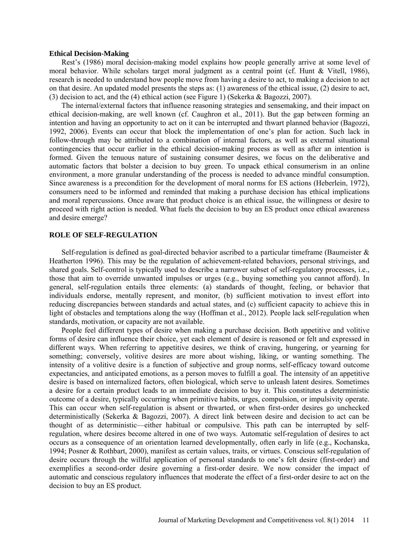#### **Ethical Decision-Making**

Rest's (1986) moral decision-making model explains how people generally arrive at some level of moral behavior. While scholars target moral judgment as a central point (cf. Hunt  $\&$  Vitell, 1986), research is needed to understand how people move from having a desire to act, to making a decision to act on that desire. An updated model presents the steps as: (1) awareness of the ethical issue, (2) desire to act, (3) decision to act, and the (4) ethical action (see Figure 1) (Sekerka & Bagozzi, 2007).

The internal/external factors that influence reasoning strategies and sensemaking, and their impact on ethical decision-making, are well known (cf. Caughron et al., 2011). But the gap between forming an intention and having an opportunity to act on it can be interrupted and thwart planned behavior (Bagozzi, 1992, 2006). Events can occur that block the implementation of one's plan for action. Such lack in follow-through may be attributed to a combination of internal factors, as well as external situational contingencies that occur earlier in the ethical decision-making process as well as after an intention is formed. Given the tenuous nature of sustaining consumer desires, we focus on the deliberative and automatic factors that bolster a decision to buy green. To unpack ethical consumerism in an online environment, a more granular understanding of the process is needed to advance mindful consumption. Since awareness is a precondition for the development of moral norms for ES actions (Heberlein, 1972), consumers need to be informed and reminded that making a purchase decision has ethical implications and moral repercussions. Once aware that product choice is an ethical issue, the willingness or desire to proceed with right action is needed. What fuels the decision to buy an ES product once ethical awareness and desire emerge?

### **ROLE OF SELF-REGULATION**

Self-regulation is defined as goal-directed behavior ascribed to a particular timeframe (Baumeister  $\&$ Heatherton 1996). This may be the regulation of achievement-related behaviors, personal strivings, and shared goals. Self-control is typically used to describe a narrower subset of self-regulatory processes, i.e., those that aim to override unwanted impulses or urges (e.g., buying something you cannot afford). In general, self-regulation entails three elements: (a) standards of thought, feeling, or behavior that individuals endorse, mentally represent, and monitor, (b) sufficient motivation to invest effort into reducing discrepancies between standards and actual states, and (c) sufficient capacity to achieve this in light of obstacles and temptations along the way (Hoffman et al., 2012). People lack self-regulation when standards, motivation, or capacity are not available.

People feel different types of desire when making a purchase decision. Both appetitive and volitive forms of desire can influence their choice, yet each element of desire is reasoned or felt and expressed in different ways. When referring to appetitive desires, we think of craving, hungering, or yearning for something; conversely, volitive desires are more about wishing, liking, or wanting something. The intensity of a volitive desire is a function of subjective and group norms, self-efficacy toward outcome expectancies, and anticipated emotions, as a person moves to fulfill a goal. The intensity of an appetitive desire is based on internalized factors, often biological, which serve to unleash latent desires. Sometimes a desire for a certain product leads to an immediate decision to buy it. This constitutes a deterministic outcome of a desire, typically occurring when primitive habits, urges, compulsion, or impulsivity operate. This can occur when self-regulation is absent or thwarted, or when first-order desires go unchecked deterministically (Sekerka & Bagozzi, 2007). A direct link between desire and decision to act can be thought of as deterministic—either habitual or compulsive. This path can be interrupted by selfregulation, where desires become altered in one of two ways. Automatic self-regulation of desires to act occurs as a consequence of an orientation learned developmentally, often early in life (e.g., Kochanska, 1994; Posner & Rothbart, 2000), manifest as certain values, traits, or virtues. Conscious self-regulation of desire occurs through the willful application of personal standards to one's felt desire (first-order) and exemplifies a second-order desire governing a first-order desire. We now consider the impact of automatic and conscious regulatory influences that moderate the effect of a first-order desire to act on the decision to buy an ES product.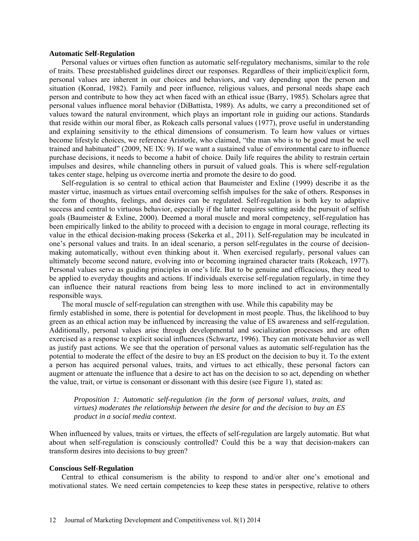#### **Automatic Self-Regulation**

Personal values or virtues often function as automatic self-regulatory mechanisms, similar to the role of traits. These preestablished guidelines direct our responses. Regardless of their implicit/explicit form, personal values are inherent in our choices and behaviors, and vary depending upon the person and situation (Konrad, 1982). Family and peer influence, religious values, and personal needs shape each person and contribute to how they act when faced with an ethical issue (Barry, 1985). Scholars agree that personal values influence moral behavior (DiBattista, 1989). As adults, we carry a preconditioned set of values toward the natural environment, which plays an important role in guiding our actions. Standards that reside within our moral fiber, as Rokeach calls personal values (1977), prove useful in understanding and explaining sensitivity to the ethical dimensions of consumerism. To learn how values or virtues become lifestyle choices, we reference Aristotle, who claimed, "the man who is to be good must be well trained and habituated" (2009, NE IX: 9). If we want a sustained value of environmental care to influence purchase decisions, it needs to become a habit of choice. Daily life requires the ability to restrain certain impulses and desires, while channeling others in pursuit of valued goals. This is where self-regulation takes center stage, helping us overcome inertia and promote the desire to do good.

Self-regulation is so central to ethical action that Baumeister and Exline (1999) describe it as the master virtue, inasmuch as virtues entail overcoming selfish impulses for the sake of others. Responses in the form of thoughts, feelings, and desires can be regulated. Self-regulation is both key to adaptive success and central to virtuous behavior, especially if the latter requires setting aside the pursuit of selfish goals (Baumeister & Exline, 2000). Deemed a moral muscle and moral competency, self-regulation has been empirically linked to the ability to proceed with a decision to engage in moral courage, reflecting its value in the ethical decision-making process (Sekerka et al., 2011). Self-regulation may be inculcated in one's personal values and traits. In an ideal scenario, a person self-regulates in the course of decisionmaking automatically, without even thinking about it. When exercised regularly, personal values can ultimately become second nature, evolving into or becoming ingrained character traits (Rokeach, 1977). Personal values serve as guiding principles in one's life. But to be genuine and efficacious, they need to be applied to everyday thoughts and actions. If individuals exercise self-regulation regularly, in time they can influence their natural reactions from being less to more inclined to act in environmentally responsible ways.

The moral muscle of self-regulation can strengthen with use. While this capability may be firmly established in some, there is potential for development in most people. Thus, the likelihood to buy green as an ethical action may be influenced by increasing the value of ES awareness and self-regulation. Additionally, personal values arise through developmental and socialization processes and are often exercised as a response to explicit social influences (Schwartz, 1996). They can motivate behavior as well as justify past actions. We see that the operation of personal values as automatic self-regulation has the potential to moderate the effect of the desire to buy an ES product on the decision to buy it. To the extent a person has acquired personal values, traits, and virtues to act ethically, these personal factors can augment or attenuate the influence that a desire to act has on the decision to so act, depending on whether the value, trait, or virtue is consonant or dissonant with this desire (see Figure 1), stated as:

*Proposition 1: Automatic self-regulation (in the form of personal values, traits, and virtues) moderates the relationship between the desire for and the decision to buy an ES product in a social media context.*

When influenced by values, traits or virtues, the effects of self-regulation are largely automatic. But what about when self-regulation is consciously controlled? Could this be a way that decision-makers can transform desires into decisions to buy green?

#### **Conscious Self-Regulation**

Central to ethical consumerism is the ability to respond to and/or alter one's emotional and motivational states. We need certain competencies to keep these states in perspective, relative to others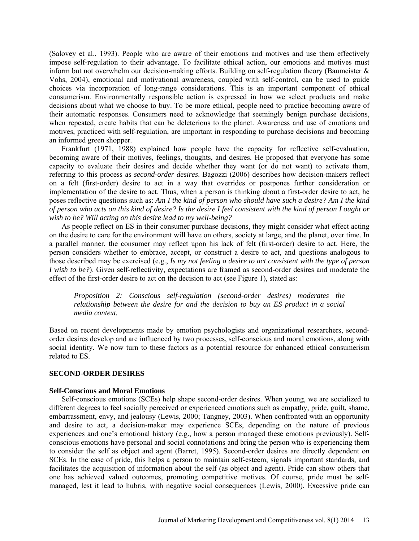(Salovey et al., 1993). People who are aware of their emotions and motives and use them effectively impose self-regulation to their advantage. To facilitate ethical action, our emotions and motives must inform but not overwhelm our decision-making efforts. Building on self-regulation theory (Baumeister & Vohs, 2004), emotional and motivational awareness, coupled with self-control, can be used to guide choices via incorporation of long-range considerations. This is an important component of ethical consumerism. Environmentally responsible action is expressed in how we select products and make decisions about what we choose to buy. To be more ethical, people need to practice becoming aware of their automatic responses. Consumers need to acknowledge that seemingly benign purchase decisions, when repeated, create habits that can be deleterious to the planet. Awareness and use of emotions and motives, practiced with self-regulation, are important in responding to purchase decisions and becoming an informed green shopper.

Frankfurt (1971, 1988) explained how people have the capacity for reflective self-evaluation, becoming aware of their motives, feelings, thoughts, and desires. He proposed that everyone has some capacity to evaluate their desires and decide whether they want (or do not want) to activate them, referring to this process as *second-order desires*. Bagozzi (2006) describes how decision-makers reflect on a felt (first-order) desire to act in a way that overrides or postpones further consideration or implementation of the desire to act. Thus, when a person is thinking about a first-order desire to act, he poses reflective questions such as: *Am I the kind of person who should have such a desire? Am I the kind of person who acts on this kind of desire? Is the desire I feel consistent with the kind of person I ought or wish to be? Will acting on this desire lead to my well-being?*

As people reflect on ES in their consumer purchase decisions, they might consider what effect acting on the desire to care for the environment will have on others, society at large, and the planet, over time. In a parallel manner, the consumer may reflect upon his lack of felt (first-order) desire to act. Here, the person considers whether to embrace, accept, or construct a desire to act, and questions analogous to those described may be exercised (e.g., *Is my not feeling a desire to act consistent with the type of person I wish to be?*). Given self-reflectivity, expectations are framed as second-order desires and moderate the effect of the first-order desire to act on the decision to act (see Figure 1), stated as:

*Proposition 2: Conscious self-regulation (second-order desires) moderates the relationship between the desire for and the decision to buy an ES product in a social media context.*

Based on recent developments made by emotion psychologists and organizational researchers, secondorder desires develop and are influenced by two processes, self-conscious and moral emotions, along with social identity. We now turn to these factors as a potential resource for enhanced ethical consumerism related to ES.

## **SECOND-ORDER DESIRES**

# **Self-Conscious and Moral Emotions**

Self-conscious emotions (SCEs) help shape second-order desires. When young, we are socialized to different degrees to feel socially perceived or experienced emotions such as empathy, pride, guilt, shame, embarrassment, envy, and jealousy (Lewis, 2000; Tangney, 2003). When confronted with an opportunity and desire to act, a decision-maker may experience SCEs, depending on the nature of previous experiences and one's emotional history (e.g., how a person managed these emotions previously). Selfconscious emotions have personal and social connotations and bring the person who is experiencing them to consider the self as object and agent (Barret, 1995). Second-order desires are directly dependent on SCEs. In the case of pride, this helps a person to maintain self-esteem, signals important standards, and facilitates the acquisition of information about the self (as object and agent). Pride can show others that one has achieved valued outcomes, promoting competitive motives. Of course, pride must be selfmanaged, lest it lead to hubris, with negative social consequences (Lewis, 2000). Excessive pride can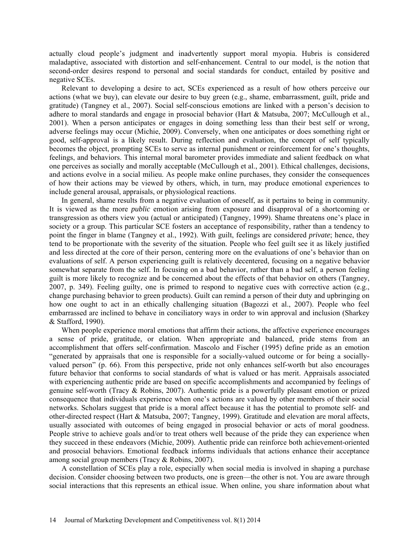actually cloud people's judgment and inadvertently support moral myopia. Hubris is considered maladaptive, associated with distortion and self-enhancement. Central to our model, is the notion that second-order desires respond to personal and social standards for conduct, entailed by positive and negative SCEs.

Relevant to developing a desire to act, SCEs experienced as a result of how others perceive our actions (what we buy), can elevate our desire to buy green (e.g., shame, embarrassment, guilt, pride and gratitude) (Tangney et al., 2007). Social self-conscious emotions are linked with a person's decision to adhere to moral standards and engage in prosocial behavior (Hart & Matsuba, 2007; McCullough et al., 2001). When a person anticipates or engages in doing something less than their best self or wrong, adverse feelings may occur (Michie, 2009). Conversely, when one anticipates or does something right or good, self-approval is a likely result. During reflection and evaluation, the concept of self typically becomes the object, prompting SCEs to serve as internal punishment or reinforcement for one's thoughts, feelings, and behaviors. This internal moral barometer provides immediate and salient feedback on what one perceives as socially and morally acceptable (McCullough et al., 2001). Ethical challenges, decisions, and actions evolve in a social milieu. As people make online purchases, they consider the consequences of how their actions may be viewed by others, which, in turn, may produce emotional experiences to include general arousal, appraisals, or physiological reactions.

In general, shame results from a negative evaluation of oneself, as it pertains to being in community. It is viewed as the more *public* emotion arising from exposure and disapproval of a shortcoming or transgression as others view you (actual or anticipated) (Tangney, 1999). Shame threatens one's place in society or a group. This particular SCE fosters an acceptance of responsibility, rather than a tendency to point the finger in blame (Tangney et al., 1992). With guilt, feelings are considered *private*; hence, they tend to be proportionate with the severity of the situation. People who feel guilt see it as likely justified and less directed at the core of their person, centering more on the evaluations of one's behavior than on evaluations of self. A person experiencing guilt is relatively decentered, focusing on a negative behavior somewhat separate from the self. In focusing on a bad behavior, rather than a bad self, a person feeling guilt is more likely to recognize and be concerned about the effects of that behavior on others (Tangney, 2007, p. 349). Feeling guilty, one is primed to respond to negative cues with corrective action (e.g., change purchasing behavior to green products). Guilt can remind a person of their duty and upbringing on how one ought to act in an ethically challenging situation (Bagozzi et al., 2007). People who feel embarrassed are inclined to behave in conciliatory ways in order to win approval and inclusion (Sharkey & Stafford, 1990).

When people experience moral emotions that affirm their actions, the affective experience encourages a sense of pride, gratitude, or elation. When appropriate and balanced, pride stems from an accomplishment that offers self-confirmation. Mascolo and Fischer (1995) define pride as an emotion "generated by appraisals that one is responsible for a socially-valued outcome or for being a sociallyvalued person" (p. 66). From this perspective, pride not only enhances self-worth but also encourages future behavior that conforms to social standards of what is valued or has merit. Appraisals associated with experiencing authentic pride are based on specific accomplishments and accompanied by feelings of genuine self-worth (Tracy & Robins, 2007). Authentic pride is a powerfully pleasant emotion or prized consequence that individuals experience when one's actions are valued by other members of their social networks. Scholars suggest that pride is a moral affect because it has the potential to promote self- and other-directed respect (Hart & Matsuba, 2007; Tangney, 1999). Gratitude and elevation are moral affects, usually associated with outcomes of being engaged in prosocial behavior or acts of moral goodness. People strive to achieve goals and/or to treat others well because of the pride they can experience when they succeed in these endeavors (Michie, 2009). Authentic pride can reinforce both achievement-oriented and prosocial behaviors. Emotional feedback informs individuals that actions enhance their acceptance among social group members (Tracy & Robins, 2007).

A constellation of SCEs play a role, especially when social media is involved in shaping a purchase decision. Consider choosing between two products, one is green—the other is not. You are aware through social interactions that this represents an ethical issue. When online, you share information about what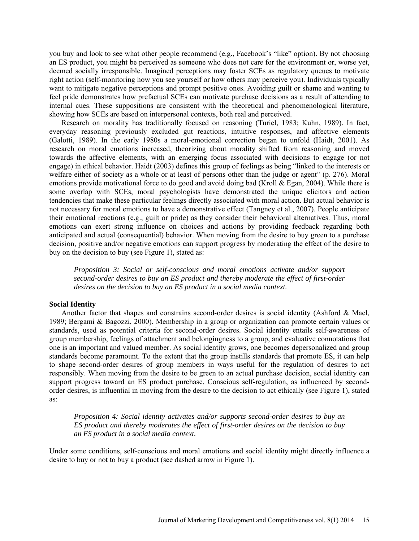you buy and look to see what other people recommend (e.g., Facebook's "like" option). By not choosing an ES product, you might be perceived as someone who does not care for the environment or, worse yet, deemed socially irresponsible. Imagined perceptions may foster SCEs as regulatory queues to motivate right action (self-monitoring how you see yourself or how others may perceive you). Individuals typically want to mitigate negative perceptions and prompt positive ones. Avoiding guilt or shame and wanting to feel pride demonstrates how prefactual SCEs can motivate purchase decisions as a result of attending to internal cues. These suppositions are consistent with the theoretical and phenomenological literature, showing how SCEs are based on interpersonal contexts, both real and perceived.

Research on morality has traditionally focused on reasoning (Turiel, 1983; Kuhn, 1989). In fact, everyday reasoning previously excluded gut reactions, intuitive responses, and affective elements (Galotti, 1989). In the early 1980s a moral-emotional correction began to unfold (Haidt, 2001). As research on moral emotions increased, theorizing about morality shifted from reasoning and moved towards the affective elements, with an emerging focus associated with decisions to engage (or not engage) in ethical behavior. Haidt (2003) defines this group of feelings as being "linked to the interests or welfare either of society as a whole or at least of persons other than the judge or agent" (p. 276). Moral emotions provide motivational force to do good and avoid doing bad (Kroll & Egan, 2004). While there is some overlap with SCEs, moral psychologists have demonstrated the unique elicitors and action tendencies that make these particular feelings directly associated with moral action. But actual behavior is not necessary for moral emotions to have a demonstrative effect (Tangney et al., 2007). People anticipate their emotional reactions (e.g., guilt or pride) as they consider their behavioral alternatives. Thus, moral emotions can exert strong influence on choices and actions by providing feedback regarding both anticipated and actual (consequential) behavior. When moving from the desire to buy green to a purchase decision, positive and/or negative emotions can support progress by moderating the effect of the desire to buy on the decision to buy (see Figure 1), stated as:

*Proposition 3: Social or self-conscious and moral emotions activate and/or support second-order desires to buy an ES product and thereby moderate the effect of first-order desires on the decision to buy an ES product in a social media context.*

## **Social Identity**

Another factor that shapes and constrains second-order desires is social identity (Ashford & Mael, 1989; Bergami & Bagozzi, 2000). Membership in a group or organization can promote certain values or standards, used as potential criteria for second-order desires. Social identity entails self-awareness of group membership, feelings of attachment and belongingness to a group, and evaluative connotations that one is an important and valued member. As social identity grows, one becomes depersonalized and group standards become paramount. To the extent that the group instills standards that promote ES, it can help to shape second-order desires of group members in ways useful for the regulation of desires to act responsibly. When moving from the desire to be green to an actual purchase decision, social identity can support progress toward an ES product purchase. Conscious self-regulation, as influenced by secondorder desires, is influential in moving from the desire to the decision to act ethically (see Figure 1), stated as:

*Proposition 4: Social identity activates and/or supports second-order desires to buy an ES product and thereby moderates the effect of first-order desires on the decision to buy an ES product in a social media context.*

Under some conditions, self-conscious and moral emotions and social identity might directly influence a desire to buy or not to buy a product (see dashed arrow in Figure 1).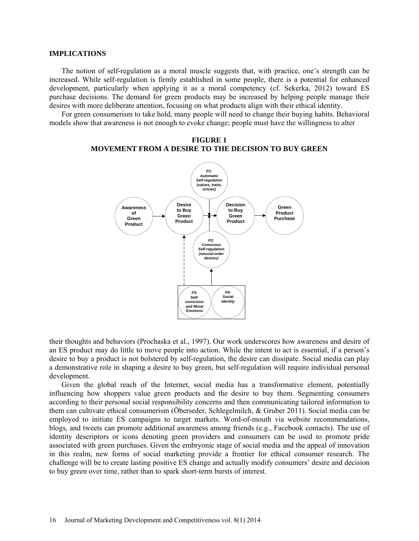#### **IMPLICATIONS**

The notion of self-regulation as a moral muscle suggests that, with practice, one's strength can be increased. While self-regulation is firmly established in some people, there is a potential for enhanced development, particularly when applying it as a moral competency (cf. Sekerka, 2012) toward ES purchase decisions. The demand for green products may be increased by helping people manage their desires with more deliberate attention, focusing on what products align with their ethical identity.

For green consumerism to take hold, many people will need to change their buying habits. Behavioral models show that awareness is not enough to evoke change; people must have the willingness to alter



### **FIGURE 1 MOVEMENT FROM A DESIRE TO THE DECISION TO BUY GREEN**

their thoughts and behaviors (Prochaska et al., 1997). Our work underscores how awareness and desire of an ES product may do little to move people into action. While the intent to act is essential, if a person's desire to buy a product is not bolstered by self-regulation, the desire can dissipate. Social media can play a demonstrative role in shaping a desire to buy green, but self-regulation will require individual personal development.

Given the global reach of the Internet, social media has a transformative element, potentially influencing how shoppers value green products and the desire to buy them. Segmenting consumers according to their personal social responsibility concerns and then communicating tailored information to them can cultivate ethical consumerism (Öberseder, Schlegelmilch, & Gruber 2011). Social media can be employed to initiate ES campaigns to target markets. Word-of-mouth via website recommendations, blogs, and tweets can promote additional awareness among friends (e.g., Facebook contacts). The use of identity descriptors or icons denoting green providers and consumers can be used to promote pride associated with green purchases. Given the embryonic stage of social media and the appeal of innovation in this realm, new forms of social marketing provide a frontier for ethical consumer research. The challenge will be to create lasting positive ES change and actually modify consumers' desire and decision to buy green over time, rather than to spark short-term bursts of interest.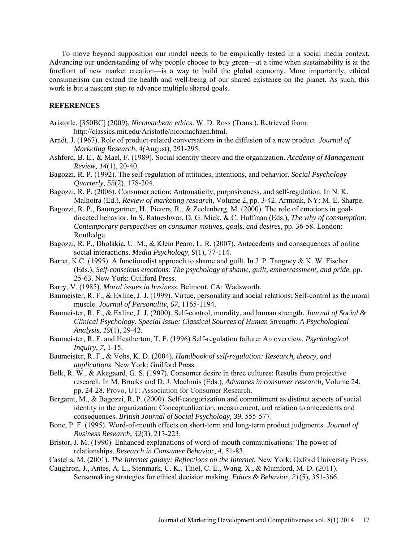To move beyond supposition our model needs to be empirically tested in a social media context. Advancing our understanding of why people choose to buy green—at a time when sustainability is at the forefront of new market creation—is a way to build the global economy. More importantly, ethical consumerism can extend the health and well-being of our shared existence on the planet. As such, this work is but a nascent step to advance multiple shared goals.

# **REFERENCES**

- Aristotle. [350BC] (2009). *Nicomachean ethics*. W. D. Ross (Trans.). Retrieved from: [http://classics.mit.edu/Aristotle/nicomachaen.html.](http://classics.mit.edu/Aristotle/nicomachaen.html)
- Arndt, J. (1967). Role of product-related conversations in the diffusion of a new product. *Journal of Marketing Research, 4(*August), 291-295.
- Ashford, B. E., & Mael, F. (1989). Social identity theory and the organization. *Academy of Management Review, 14*(1), 20-40.
- Bagozzi, R. P. (1992). The self-regulation of attitudes, intentions, and behavior. *Social Psychology Quarterly, 55*(2), 178-204.
- Bagozzi, R. P. (2006). Consumer action: Automaticity, purposiveness, and self-regulation. In N. K. Malhotra (Ed.), *Review of marketing research*, Volume 2, pp. 3-42. Armonk, NY: M. E. Sharpe.
- Bagozzi, R. P., Baumgartner, H., Pieters, R., & Zeelenberg, M. (2000). The role of emotions in goaldirected behavior. In S. Ratneshwar, D. G. Mick, & C. Huffman (Eds.), *The why of consumption: Contemporary perspectives on consumer motives, goals, and desires*, pp. 36-58. London: Routledge.
- Bagozzi, R. P., Dholakia, U. M., & Klein Pearo, L. R. (2007). Antecedents and consequences of online social interactions. *Media Psychology, 9*(1), 77-114.
- Barret, K.C. (1995). A functionalist approach to shame and guilt. In J. P. Tangney & K. W. Fischer (Eds.), *Self-conscious emotions: The psychology of shame, guilt, embarrassment, and pride*, pp. 25-63. New York: Guilford Press.
- Barry, V. (1985). *Moral issues in business*. Belmont, CA: Wadsworth.
- Baumeister, R. F., & Exline, J. J. (1999). Virtue, personality and social relations: Self-control as the moral muscle. *Journal of Personality, 67*, 1165-1194.
- Baumeister, R. F., & Exline, J. J. (2000). Self-control, morality, and human strength. *Journal of Social & Clinical Psychology. Special Issue: Classical Sources of Human Strength: A Psychological Analysis, 19*(1), 29-42.
- Baumeister, R. F. and Heatherton, T. F. (1996) Self-regulation failure: An overview. *Psychological Inquiry, 7*, 1-15.
- Baumeister, R. F., & Vohs, K. D. (2004). *Handbook of self-regulation: Research, theory, and applications*. New York: Guilford Press.
- Belk, R. W., & Akegaard, G. S. (1997). Consumer desire in three cultures: Results from projective research. In M. Brucks and D. J. MacInnis (Eds.), *Advances in consumer research,* Volume 24, pp. 24-28. Provo, UT: Association for Consumer Research.
- Bergami, M., & Bagozzi, R. P. (2000). Self-categorization and commitment as distinct aspects of social identity in the organization: Conceptualization, measurement, and relation to antecedents and consequences. *British Journal of Social Psychology, 39*, 555-577.
- Bone, P. F. (1995). Word-of-mouth effects on short-term and long-term product judgments. *Journal of Business Research, 32*(3), 213-223.
- Bristor, J. M. (1990). Enhanced explanations of word-of-mouth communications: The power of relationships. *Research in Consumer Behavior*, *4*, 51-83.
- Castells, M. (2001). *The Internet galaxy: Reflections on the Internet.* New York: Oxford University Press.
- Caughron, J., Antes, A. L., Stenmark, C. K., Thiel, C. E., Wang, X., & Mumford, M. D. (2011). Sensemaking strategies for ethical decision making. *Ethics & Behavior, 21*(5), 351-366.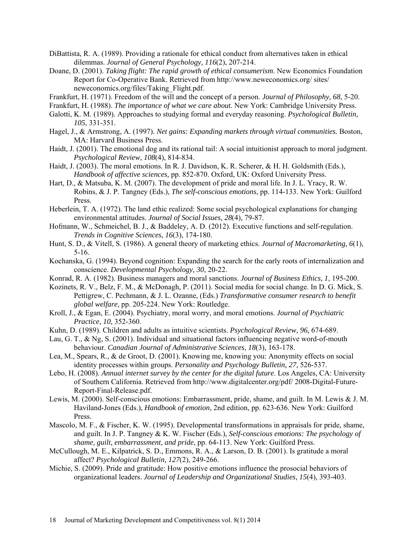- DiBattista, R. A. (1989). Providing a rationale for ethical conduct from alternatives taken in ethical dilemmas. *Journal of General Psychology, 116*(2), 207-214.
- Doane, D. (2001). *Taking flight: The rapid growth of ethical consumerism*. New Economics Foundation Report for Co-Operative Bank. Retrieved from http://www.neweconomics.org/ sites/ neweconomics.org/files/Taking\_Flight.pdf.
- Frankfurt, H. (1971). Freedom of the will and the concept of a person. *Journal of Philosophy, 68*, 5-20.
- Frankfurt, H. (1988). *The importance of what we care about*. New York: Cambridge University Press.
- Galotti, K. M. (1989). Approaches to studying formal and everyday reasoning. *Psychological Bulletin, 105*, 331-351.
- Hagel, J., & Armstrong, A. (1997). *Net gains: Expanding markets through virtual communities.* Boston, MA: Harvard Business Press.
- Haidt, J. (2001). The emotional dog and its rational tail: A social intuitionist approach to moral judgment. *Psychological Review, 108*(4), 814-834.
- Haidt, J. (2003). The moral emotions. In R. J. Davidson, K. R. Scherer, & H. H. Goldsmith (Eds.), *Handbook of affective sciences,* pp. 852-870. Oxford, UK: Oxford University Press.
- Hart, D., & Matsuba, K. M. (2007). The development of pride and moral life. In J. L. Yracy, R. W. Robins, & J. P. Tangney (Eds.), *The self-conscious emotions*, pp. 114-133. New York: Guilford Press.
- Heberlein, T. A. (1972). The land ethic realized: Some social psychological explanations for changing environmental attitudes. *Journal of Social Issues, 28*(4), 79-87.
- Hofmann, W., Schmeichel, B. J., & Baddeley, A. D. (2012). Executive functions and self-regulation. *Trends in Cognitive Sciences, 16*(3), 174-180.
- Hunt, S. D., & Vitell, S. (1986). A general theory of marketing ethics. *Journal of Macromarketing, 6*(1), 5-16.
- Kochanska, G. (1994). Beyond cognition: Expanding the search for the early roots of internalization and conscience. *Developmental Psychology, 30*, 20-22.
- Konrad, R. A. (1982). Business managers and moral sanctions. *Journal of Business Ethics, 1*, 195-200.
- Kozinets, R. V., Belz, F. M., & McDonagh, P. (2011). Social media for social change. In D. G. Mick, S. Pettigrew, C. Pechmann, & J. L. Ozanne, (Eds.) *Transformative consumer research to benefit global welfare*, pp. 205-224. New York: Routledge.
- Kroll, J., & Egan, E. (2004). Psychiatry, moral worry, and moral emotions. *Journal of Psychiatric Practice, 10*, 352-360.
- Kuhn, D. (1989). Children and adults as intuitive scientists. *Psychological Review, 96*, 674-689.
- Lau, G. T., & Ng, S. (2001). Individual and situational factors influencing negative word-of-mouth behaviour. *Canadian Journal of Administrative Sciences, 18*(3), 163-178.
- Lea, M., Spears, R., & de Groot, D. (2001). Knowing me, knowing you: Anonymity effects on social identity processes within groups. *Personality and Psychology Bulletin, 27,* 526-537.
- Lebo, H. (2008). *Annual internet survey by the center for the digital future*. Los Angeles, CA: University of Southern California. Retrieved from http://www.digitalcenter.org/pdf/ 2008-Digital-Future-Report-Final-Release.pdf.
- Lewis, M. (2000). Self-conscious emotions: Embarrassment, pride, shame, and guilt. In M. Lewis & J. M. Haviland-Jones (Eds.), *Handbook of emotion*, 2nd edition, pp. 623-636. New York: Guilford Press.
- Mascolo, M. F., & Fischer, K. W. (1995). Developmental transformations in appraisals for pride, shame, and guilt. In J. P. Tangney & K. W. Fischer (Eds.), *Self-conscious emotions: The psychology of shame, guilt, embarrassment, and pride*, pp. 64-113. New York: Guilford Press.
- McCullough, M. E., Kilpatrick, S. D., Emmons, R. A., & Larson, D. B. (2001). Is gratitude a moral affect? *Psychological Bulletin, 127*(2), 249-266.
- Michie, S. (2009). Pride and gratitude: How positive emotions influence the prosocial behaviors of organizational leaders. *Journal of Leadership and Organizational Studies, 15*(4), 393-403.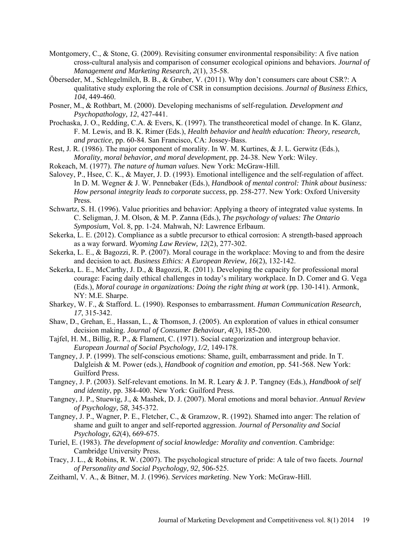- Montgomery, C., & Stone, G. (2009). Revisiting consumer environmental responsibility: A five nation cross-cultural analysis and comparison of consumer ecological opinions and behaviors. *Journal of Management and Marketing Research, 2*(1), 35-58.
- Öberseder, M., Schlegelmilch, B. B., & Gruber, V. (2011). Why don't consumers care about CSR?: A qualitative study exploring the role of CSR in consumption decisions. *Journal of Business Ethics, 104*, 449-460.
- Posner, M., & Rothbart, M. (2000). Developing mechanisms of self-regulation*. Development and Psychopathology, 12*, 427-441.
- Prochaska, J. O., Redding, C.A. & Evers, K. (1997). The transtheoretical model of change. In K. Glanz, F. M. Lewis, and B. K. Rimer (Eds.), *Health behavior and health education: Theory, research, and practice*, pp. 60-84. San Francisco, CA: Jossey-Bass.
- Rest, J. R. (1986). The major component of morality. In W. M. Kurtines, & J. L. Gerwitz (Eds.), *Morality, moral behavior, and moral development*, pp. 24-38. New York: Wiley.
- Rokeach, M. (1977). *The nature of human values*. New York: McGraw-Hill.
- Salovey, P., Hsee, C. K., & Mayer, J. D. (1993). Emotional intelligence and the self-regulation of affect. In D. M. Wegner & J. W. Pennebaker (Eds.), *Handbook of mental control: Think about business: How personal integrity leads to corporate success*, pp. 258-277. New York: Oxford University Press.
- Schwartz, S. H. (1996). Value priorities and behavior: Applying a theory of integrated value systems. In C. Seligman, J. M. Olson, & M. P. Zanna (Eds.), *The psychology of values: The Ontario Symposium*, Vol. 8, pp. 1-24. Mahwah, NJ: Lawrence Erlbaum.

Sekerka, L. E. (2012). Compliance as a subtle precursor to ethical corrosion: A strength-based approach as a way forward. *Wyoming Law Review, 12*(2), 277-302.

- Sekerka, L. E., & Bagozzi, R. P. (2007). Moral courage in the workplace: Moving to and from the desire and decision to act. *Business Ethics: A European Review, 16*(2), 132-142.
- Sekerka, L. E., McCarthy, J. D., & Bagozzi, R. (2011). Developing the capacity for professional moral courage: Facing daily ethical challenges in today's military workplace. In D. Comer and G. Vega (Eds.), *Moral courage in organizations: Doing the right thing at work* (pp. 130-141). Armonk, NY: M.E. Sharpe.
- Sharkey, W. F., & Stafford. L. (1990). Responses to embarrassment. *Human Communication Research, 17*, 315-342.
- Shaw, D., Grehan, E., Hassan, L., & Thomson, J. (2005). An exploration of values in ethical consumer decision making. *Journal of Consumer Behaviour, 4*(3), 185-200.
- Tajfel, H. M., Billig, R. P., & Flament, C. (1971). Social categorization and intergroup behavior. *European Journal of Social Psychology, 1/2,* 149-178.
- Tangney, J. P. (1999). The self-conscious emotions: Shame, guilt, embarrassment and pride. In T. Dalgleish & M. Power (eds.), *Handbook of cognition and emotion*, pp. 541-568. New York: Guilford Press.

Tangney, J. P. (2003). Self-relevant emotions. In M. R. Leary & J. P. Tangney (Eds.), *Handbook of self and identity*, pp. 384-400. New York: Guilford Press.

- Tangney, J. P., Stuewig, J., & Mashek, D. J. (2007). Moral emotions and moral behavior. *Annual Review of Psychology, 58*, 345-372.
- Tangney, J. P., Wagner, P. E., Fletcher, C., & Gramzow, R. (1992). Shamed into anger: The relation of shame and guilt to anger and self-reported aggression. *Journal of Personality and Social Psychology, 62*(4), 669-675.
- Turiel, E. (1983). *The development of social knowledge: Morality and convention*. Cambridge: Cambridge University Press.
- Tracy, J. L., & Robins, R. W. (2007). The psychological structure of pride: A tale of two facets. *Journal of Personality and Social Psychology, 92*, 506-525.
- Zeithaml, V. A., & Bitner, M. J. (1996). *Services marketing*. New York: McGraw-Hill.